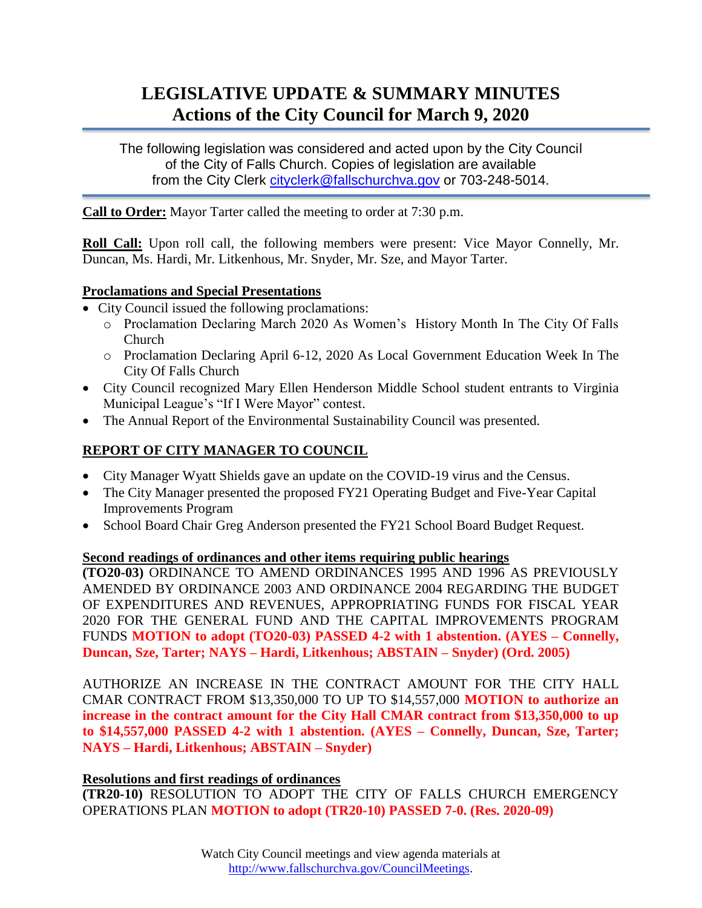# **LEGISLATIVE UPDATE & SUMMARY MINUTES Actions of the City Council for March 9, 2020**

The following legislation was considered and acted upon by the City Council of the City of Falls Church. Copies of legislation are available from the City Clerk [cityclerk@fallschurchva.gov](mailto:cityclerk@fallschurchva.gov) or 703-248-5014.

**Call to Order:** Mayor Tarter called the meeting to order at 7:30 p.m.

**Roll Call:** Upon roll call, the following members were present: Vice Mayor Connelly, Mr. Duncan, Ms. Hardi, Mr. Litkenhous, Mr. Snyder, Mr. Sze, and Mayor Tarter.

#### **Proclamations and Special Presentations**

- City Council issued the following proclamations:
	- o Proclamation Declaring March 2020 As Women's History Month In The City Of Falls Church
	- o Proclamation Declaring April 6-12, 2020 As Local Government Education Week In The City Of Falls Church
- City Council recognized Mary Ellen Henderson Middle School student entrants to Virginia Municipal League's "If I Were Mayor" contest.
- The Annual Report of the Environmental Sustainability Council was presented.

### **REPORT OF CITY MANAGER TO COUNCIL**

- City Manager Wyatt Shields gave an update on the COVID-19 virus and the Census.
- The City Manager presented the proposed FY21 Operating Budget and Five-Year Capital Improvements Program
- School Board Chair Greg Anderson presented the FY21 School Board Budget Request.

#### **Second readings of ordinances and other items requiring public hearings**

**(TO20-03)** ORDINANCE TO AMEND ORDINANCES 1995 AND 1996 AS PREVIOUSLY AMENDED BY ORDINANCE 2003 AND ORDINANCE 2004 REGARDING THE BUDGET OF EXPENDITURES AND REVENUES, APPROPRIATING FUNDS FOR FISCAL YEAR 2020 FOR THE GENERAL FUND AND THE CAPITAL IMPROVEMENTS PROGRAM FUNDS **MOTION to adopt (TO20-03) PASSED 4-2 with 1 abstention. (AYES – Connelly, Duncan, Sze, Tarter; NAYS – Hardi, Litkenhous; ABSTAIN – Snyder) (Ord. 2005)**

AUTHORIZE AN INCREASE IN THE CONTRACT AMOUNT FOR THE CITY HALL CMAR CONTRACT FROM \$13,350,000 TO UP TO \$14,557,000 **MOTION to authorize an increase in the contract amount for the City Hall CMAR contract from \$13,350,000 to up to \$14,557,000 PASSED 4-2 with 1 abstention. (AYES – Connelly, Duncan, Sze, Tarter; NAYS – Hardi, Litkenhous; ABSTAIN – Snyder)**

#### **Resolutions and first readings of ordinances**

**(TR20-10)** RESOLUTION TO ADOPT THE CITY OF FALLS CHURCH EMERGENCY OPERATIONS PLAN **MOTION to adopt (TR20-10) PASSED 7-0. (Res. 2020-09)**